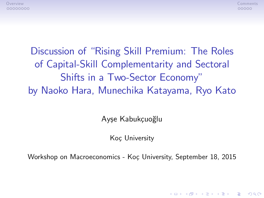

**KORK ERKER ADE YOUR** 

Discussion of "Rising Skill Premium: The Roles of Capital-Skill Complementarity and Sectoral Shifts in a Two-Sector Economy" by Naoko Hara, Munechika Katayama, Ryo Kato

Ayşe Kabukçuoğlu

Koc University

Workshop on Macroeconomics - Koç University, September 18, 2015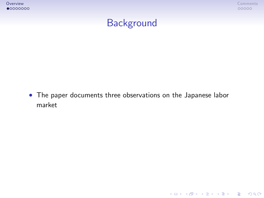



K ロ ▶ K @ ▶ K 할 ▶ K 할 ▶ | 할 | ⊙Q @

# **Background**

<span id="page-1-0"></span> The paper documents three observations on the Japanese labor market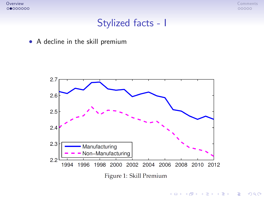

イロメ イ団メ イ君メ イ君メー

重

 $299$ 

### Stylized facts - I



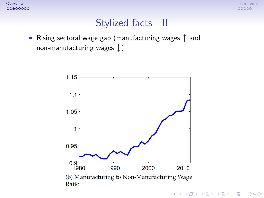

### Stylized facts - II

• Rising sectoral wage gap (manufacturing wages  $\uparrow$  and non-manufacturing wages  $\downarrow$ )

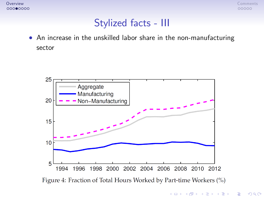

### Stylized facts - III

 An increase in the unskilled labor share in the non-manufacturing sector



Figure 4: Fraction of Total Hours Worked by Part-time Workers (%)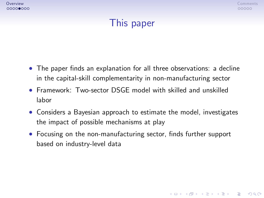**KOD KARD KED KED E VOOR** 

# This paper

- The paper finds an explanation for all three observations: a decline in the capital-skill complementarity in non-manufacturing sector
- Framework: Two-sector DSGE model with skilled and unskilled labor
- Considers a Bayesian approach to estimate the model, investigates the impact of possible mechanisms at play
- Focusing on the non-manufacturing sector, finds further support based on industry-level data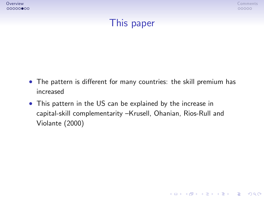**KOD KARD KED KED E VOOR** 

# This paper

- The pattern is different for many countries: the skill premium has increased
- This pattern in the US can be explained by the increase in capital-skill complementarity -Krusell, Ohanian, Rios-Rull and Violante (2000)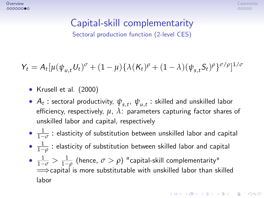**KORKAR KERKER EL VOLO** 

# Capital-skill complementarity

Sectoral production function (2-level CES)

 $Y_t = A_t[\mu(\psi_{u,t}U_t)^{\sigma} + (1-\mu)\{\lambda(K_t)^{\rho} + (1-\lambda)(\psi_{s,t}S_t)^{\rho}\}^{\sigma/\rho}]^{1/\sigma}$ 

- Krusell et al.  $(2000)$
- $\bullet$   $A_t$  : sectoral productivity,  $\psi_{s,t}, \, \psi_{u,t}$  : skilled and unskilled labor efficiency, respectively,  $\mu$ ,  $\lambda$ : parameters capturing factor shares of unskilled labor and capital, respectively
- $\frac{1}{1-}$  $\frac{1}{1-\sigma}$  : elasticity of substitution between unskilled labor and capital
- $\frac{1}{1-}$  $\frac{1}{1-\rho}$  : elasticity of substitution between skilled labor and capital
- $\bullet$   $\frac{1}{1-\sigma} > \frac{1}{1-\rho}$  (hence,  $\sigma > \rho$ ) "capital-skill complementarity"  $\implies$ capital is more substitutable with unskilled labor than skilled labor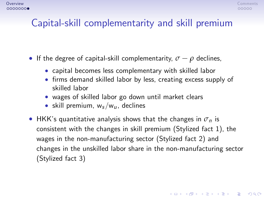**KORKAR KERKER EL VOLO** 

# Capital-skill complementarity and skill premium

- **If the degree of capital-skill complementarity,**  $\sigma \rho$  **declines,** 
	- capital becomes less complementary with skilled labor
	- firms demand skilled labor by less, creating excess supply of skilled labor
	- wages of skilled labor go down until market clears
	- skill premium,  $w_s/w_u$ , declines
- **•** HKK's quantitative analysis shows that the changes in  $\sigma_n$  is consistent with the changes in skill premium (Stylized fact 1), the wages in the non-manufacturing sector (Stylized fact 2) and changes in the unskilled labor share in the non-manufacturing sector (Stylized fact 3)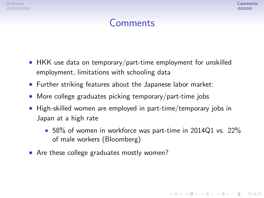**KORK ERKER ADE YOUR** 

# Comments

- HKK use data on temporary/part-time employment for unskilled employment, limitations with schooling data
- Further striking features about the Japanese labor market:
- More college graduates picking temporary/part-time jobs
- High-skilled women are employed in part-time/temporary jobs in Japan at a high rate
	- 58% of women in workforce was part-time in 2014Q1 vs. 22% of male workers (Bloomberg)
- <span id="page-9-0"></span>• Are these college graduates mostly women?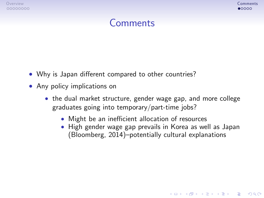**KOD KARD KED KED E VOOR** 

### Comments

- Why is Japan different compared to other countries?
- Any policy implications on
	- the dual market structure, gender wage gap, and more college graduates going into temporary/part-time jobs?
		- Might be an inefficient allocation of resources
		- High gender wage gap prevails in Korea as well as Japan (Bloomberg, 2014)-potentially cultural explanations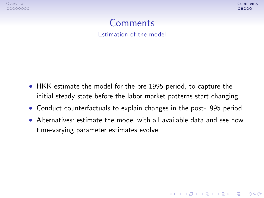**KOD KARD KED KED E VOOR** 

# Comments

Estimation of the model

- HKK estimate the model for the pre-1995 period, to capture the initial steady state before the labor market patterns start changing
- Conduct counterfactuals to explain changes in the post-1995 period
- Alternatives: estimate the model with all available data and see how time-varying parameter estimates evolve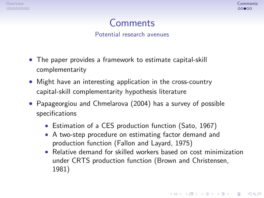**KOD KARD KED KED E VOOR** 

# Comments

Potential research avenues

- The paper provides a framework to estimate capital-skill complementarity
- Might have an interesting application in the cross-country capital-skill complementarity hypothesis literature
- Papageorgiou and Chmelarova (2004) has a survey of possible specifications
	- Estimation of a CES production function (Sato, 1967)
	- A two-step procedure on estimating factor demand and production function (Fallon and Layard, 1975)
	- Relative demand for skilled workers based on cost minimization under CRTS production function (Brown and Christensen, 1981)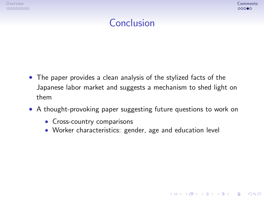**KOD KARD KED KED E VOOR** 

# Conclusion

- The paper provides a clean analysis of the stylized facts of the Japanese labor market and suggests a mechanism to shed light on them
- A thought-provoking paper suggesting future questions to work on
	- Cross-country comparisons
	- Worker characteristics: gender, age and education level